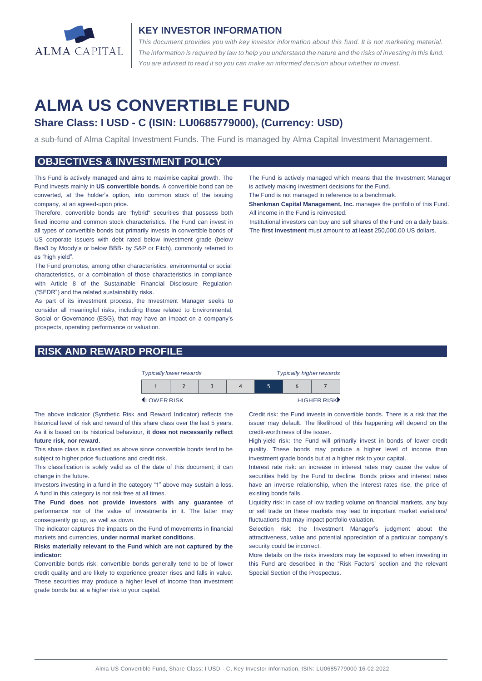

#### **KEY INVESTOR INFORMATION**

*This document provides you with key investor information about this fund. It is not marketing material.*  The information is required by law to help you understand the nature and the risks of investing in this fund. *You are advised to read it so you can make an informed decision about whether to invest.*

# **ALMA US CONVERTIBLE FUND**

### **Share Class: I USD - C (ISIN: LU0685779000), (Currency: USD)**

a sub-fund of Alma Capital Investment Funds. The Fund is managed by Alma Capital Investment Management.

#### **OBJECTIVES & INVESTMENT POLICY**

This Fund is actively managed and aims to maximise capital growth. The Fund invests mainly in **US convertible bonds.** A convertible bond can be converted, at the holder's option, into common stock of the issuing company, at an agreed-upon price.

Therefore, convertible bonds are "hybrid" securities that possess both fixed income and common stock characteristics. The Fund can invest in all types of convertible bonds but primarily invests in convertible bonds of US corporate issuers with debt rated below investment grade (below Baa3 by Moody's or below BBB- by S&P or Fitch), commonly referred to as "high yield".

The Fund promotes, among other characteristics, environmental or social characteristics, or a combination of those characteristics in compliance with Article 8 of the Sustainable Financial Disclosure Regulation ("SFDR") and the related sustainability risks.

As part of its investment process, the Investment Manager seeks to consider all meaningful risks, including those related to Environmental, Social or Governance (ESG), that may have an impact on a company's prospects, operating performance or valuation.

## **RISK AND REWARD PROFILE**



<sup>1</sup> LOWER RISK HIGHER RISK HIGHER RISK

The above indicator (Synthetic Risk and Reward Indicator) reflects the historical level of risk and reward of this share class over the last 5 years. As it is based on its historical behaviour, **it does not necessarily reflect future risk, nor reward**.

This share class is classified as above since convertible bonds tend to be subject to higher price fluctuations and credit risk.

This classification is solely valid as of the date of this document; it can change in the future.

Investors investing in a fund in the category "1" above may sustain a loss. A fund in this category is not risk free at all times.

**The Fund does not provide investors with any guarantee** of performance nor of the value of investments in it. The latter may consequently go up, as well as down.

The indicator captures the impacts on the Fund of movements in financial markets and currencies, **under normal market conditions**.

**Risks materially relevant to the Fund which are not captured by the indicator:** 

Convertible bonds risk: convertible bonds generally tend to be of lower credit quality and are likely to experience greater rises and falls in value. These securities may produce a higher level of income than investment grade bonds but at a higher risk to your capital.

The Fund is actively managed which means that the Investment Manager is actively making investment decisions for the Fund. The Fund is not managed in reference to a benchmark.

**Shenkman Capital Management, Inc.** manages the portfolio of this Fund. All income in the Fund is reinvested.

Institutional investors can buy and sell shares of the Fund on a daily basis. The **first investment** must amount to **at least** 250,000.00 US dollars.

Credit risk: the Fund invests in convertible bonds. There is a risk that the issuer may default. The likelihood of this happening will depend on the credit-worthiness of the issuer.

High-yield risk: the Fund will primarily invest in bonds of lower credit quality. These bonds may produce a higher level of income than investment grade bonds but at a higher risk to your capital.

Interest rate risk: an increase in interest rates may cause the value of securities held by the Fund to decline. Bonds prices and interest rates have an inverse relationship, when the interest rates rise, the price of existing bonds falls.

Liquidity risk: in case of low trading volume on financial markets, any buy or sell trade on these markets may lead to important market variations/ fluctuations that may impact portfolio valuation.

Selection risk: the Investment Manager's judgment about the attractiveness, value and potential appreciation of a particular company's security could be incorrect.

More details on the risks investors may be exposed to when investing in this Fund are described in the "Risk Factors" section and the relevant Special Section of the Prospectus.